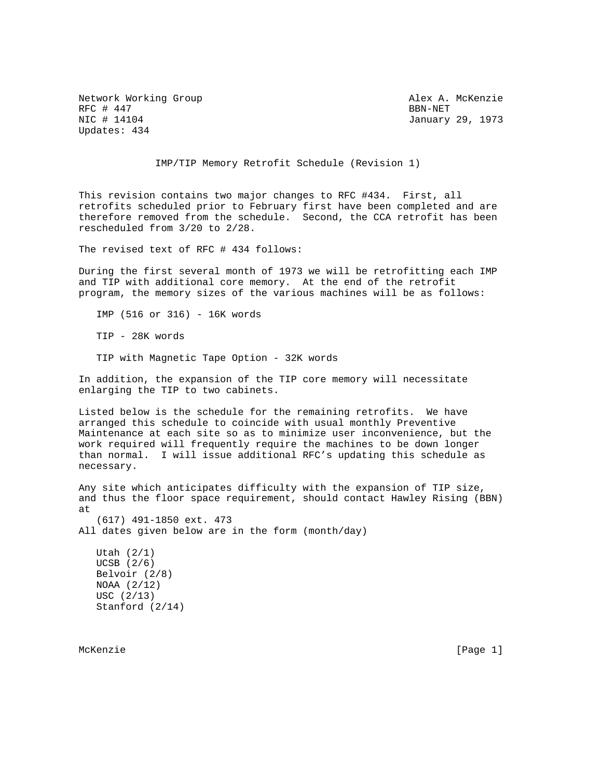Network Working Group Alex A. McKenzie RFC # 447 BBN-NET & RFC # 447 BBN-NET & RECOMMENT BEST RESERVED BEST RESERVED BEST RESERVED BEST RESERVED BEST RECOMMENDENT Updates: 434

January 29, 1973

IMP/TIP Memory Retrofit Schedule (Revision 1)

This revision contains two major changes to RFC #434. First, all retrofits scheduled prior to February first have been completed and are therefore removed from the schedule. Second, the CCA retrofit has been rescheduled from 3/20 to 2/28.

The revised text of RFC # 434 follows:

During the first several month of 1973 we will be retrofitting each IMP and TIP with additional core memory. At the end of the retrofit program, the memory sizes of the various machines will be as follows:

IMP (516 or 316) - 16K words

TIP - 28K words

TIP with Magnetic Tape Option - 32K words

In addition, the expansion of the TIP core memory will necessitate enlarging the TIP to two cabinets.

Listed below is the schedule for the remaining retrofits. We have arranged this schedule to coincide with usual monthly Preventive Maintenance at each site so as to minimize user inconvenience, but the work required will frequently require the machines to be down longer than normal. I will issue additional RFC's updating this schedule as necessary.

Any site which anticipates difficulty with the expansion of TIP size, and thus the floor space requirement, should contact Hawley Rising (BBN) at

 (617) 491-1850 ext. 473 All dates given below are in the form (month/day)

 Utah (2/1) UCSB (2/6) Belvoir (2/8) NOAA (2/12) USC (2/13) Stanford (2/14)

McKenzie [Page 1]